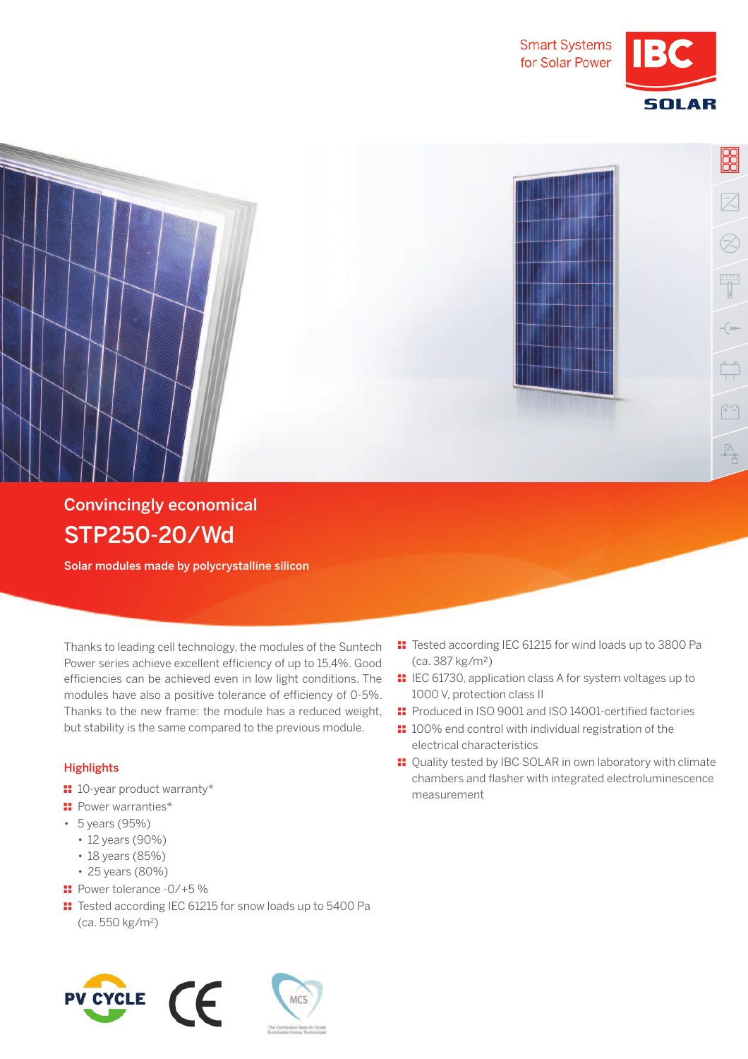

**SOLAR** 

BB

 $\overline{\angle}$ 

Z)

 $\begin{picture}(120,15) \put(0,0){\line(1,0){15}} \put(15,0){\line(1,0){15}} \put(15,0){\line(1,0){15}} \put(15,0){\line(1,0){15}} \put(15,0){\line(1,0){15}} \put(15,0){\line(1,0){15}} \put(15,0){\line(1,0){15}} \put(15,0){\line(1,0){15}} \put(15,0){\line(1,0){15}} \put(15,0){\line(1,0){15}} \put(15,0){\line(1,0){15}} \put(15,0){\line($ 



## STP250-20/Wd

Solar modules made by polycrystalline silicon

 Thanks to leading cell technology, the modules of the Suntech Power series achieve excellent efficiency of up to 15,4%. Good efficiencies can be achieved even in low light conditions. The modules have also a positive tolerance of efficiency of 0-5%. Thanks to the new frame: the module has a reduced weight, but stability is the same compared to the previous module.

## **Highlights**

- $\blacksquare$  10-year product warranty\*
- **:** Power warranties\*
- 5 years (95%)
	- 12 years (90%)
	- 18 years (85%)
	- 25 years (80%)
- $\blacksquare$  Power tolerance -0/+5 %
- $\text{I}$  Tested according IEC 61215 for snow loads up to 5400 Pa (ca. 550 kg/m<sup>2</sup> )





- $\text{I}$  Tested according IEC 61215 for wind loads up to 3800 Pa (ca. 387 kg/m2)
- **II** IEC 61730, application class A for system voltages up to 1000 V, protection class II
- $\textbf{F}$  Produced in ISO 9001 and ISO 14001-certified factories
- $\blacksquare$  100% end control with individual registration of the electrical characteristics
- $\blacksquare$  Quality tested by IBC SOLAR in own laboratory with climate chambers and flasher with integrated electroluminescence measurement